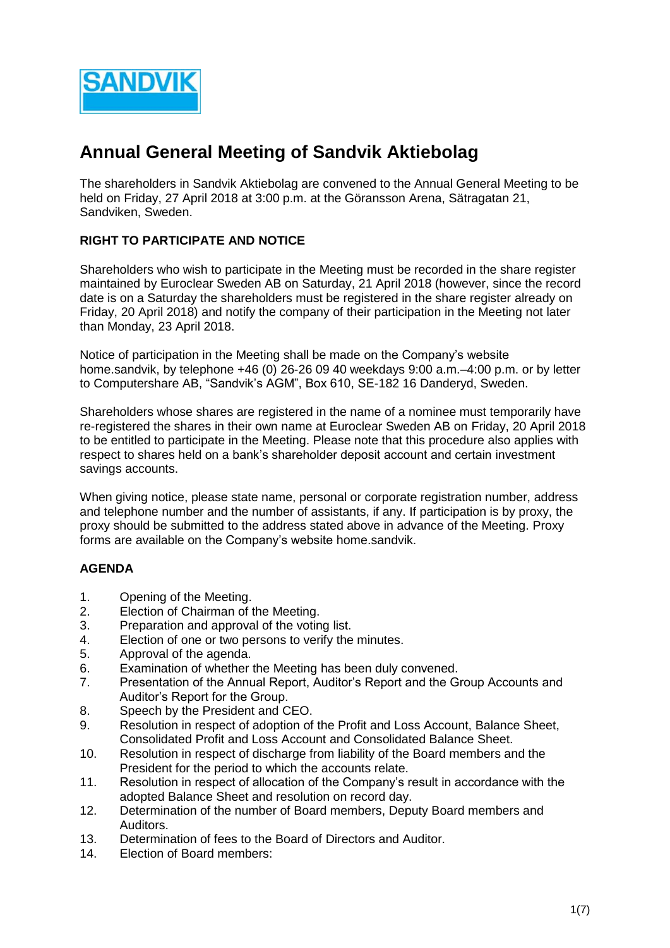

# **Annual General Meeting of Sandvik Aktiebolag**

The shareholders in Sandvik Aktiebolag are convened to the Annual General Meeting to be held on Friday, 27 April 2018 at 3:00 p.m. at the Göransson Arena, Sätragatan 21, Sandviken, Sweden.

# **RIGHT TO PARTICIPATE AND NOTICE**

Shareholders who wish to participate in the Meeting must be recorded in the share register maintained by Euroclear Sweden AB on Saturday, 21 April 2018 (however, since the record date is on a Saturday the shareholders must be registered in the share register already on Friday, 20 April 2018) and notify the company of their participation in the Meeting not later than Monday, 23 April 2018.

Notice of participation in the Meeting shall be made on the Company's website [home.sandvik,](http://www.sandvik.com/) by telephone +46 (0) 26-26 09 40 weekdays 9:00 a.m.–4:00 p.m. or by letter to Computershare AB, "Sandvik's AGM", Box 610, SE-182 16 Danderyd, Sweden.

Shareholders whose shares are registered in the name of a nominee must temporarily have re-registered the shares in their own name at Euroclear Sweden AB on Friday, 20 April 2018 to be entitled to participate in the Meeting. Please note that this procedure also applies with respect to shares held on a bank's shareholder deposit account and certain investment savings accounts.

When giving notice, please state name, personal or corporate registration number, address and telephone number and the number of assistants, if any. If participation is by proxy, the proxy should be submitted to the address stated above in advance of the Meeting. Proxy forms are available on the Company's website home.sandvik.

# **AGENDA**

- 1. Opening of the Meeting.
- 2. Election of Chairman of the Meeting.
- 3. Preparation and approval of the voting list.
- 4. Election of one or two persons to verify the minutes.
- 5. Approval of the agenda.
- 6. Examination of whether the Meeting has been duly convened.
- 7. Presentation of the Annual Report, Auditor's Report and the Group Accounts and Auditor's Report for the Group.
- 8. Speech by the President and CEO.
- 9. Resolution in respect of adoption of the Profit and Loss Account, Balance Sheet, Consolidated Profit and Loss Account and Consolidated Balance Sheet.
- 10. Resolution in respect of discharge from liability of the Board members and the President for the period to which the accounts relate.
- 11. Resolution in respect of allocation of the Company's result in accordance with the adopted Balance Sheet and resolution on record day.
- 12. Determination of the number of Board members, Deputy Board members and Auditors.
- 13. Determination of fees to the Board of Directors and Auditor.
- 14. Election of Board members: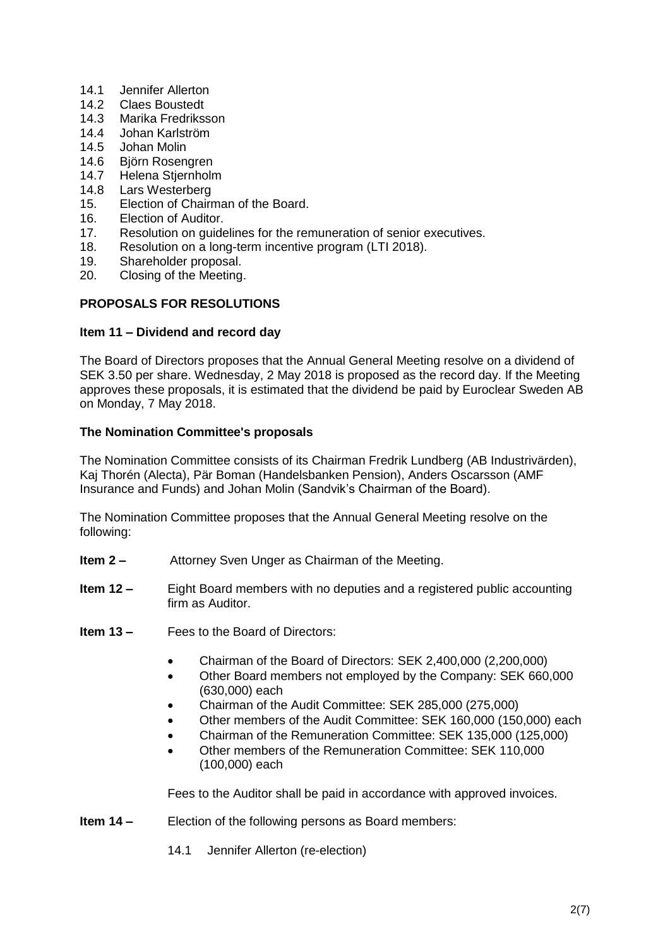- 14.1 Jennifer Allerton
- 14.2 Claes Boustedt
- 14.3 Marika Fredriksson
- 14.4 Johan Karlström
- 14.5 Johan Molin
- 14.6 Björn Rosengren
- 14.7 Helena Stjernholm
- 14.8 Lars Westerberg
- 15. Election of Chairman of the Board.
- 16. Election of Auditor.
- 17. Resolution on guidelines for the remuneration of senior executives.
- 18. Resolution on a long-term incentive program (LTI 2018).
- 19. Shareholder proposal.
- 20. Closing of the Meeting.

# **PROPOSALS FOR RESOLUTIONS**

## **Item 11 – Dividend and record day**

The Board of Directors proposes that the Annual General Meeting resolve on a dividend of SEK 3.50 per share. Wednesday, 2 May 2018 is proposed as the record day. If the Meeting approves these proposals, it is estimated that the dividend be paid by Euroclear Sweden AB on Monday, 7 May 2018.

# **The Nomination Committee's proposals**

The Nomination Committee consists of its Chairman Fredrik Lundberg (AB Industrivärden), Kaj Thorén (Alecta), Pär Boman (Handelsbanken Pension), Anders Oscarsson (AMF Insurance and Funds) and Johan Molin (Sandvik's Chairman of the Board).

The Nomination Committee proposes that the Annual General Meeting resolve on the following:

- **Item 2 –** Attorney Sven Unger as Chairman of the Meeting.
- **Item 12 –** Eight Board members with no deputies and a registered public accounting firm as Auditor.
- **Item 13 –** Fees to the Board of Directors:
	- Chairman of the Board of Directors: SEK 2,400,000 (2,200,000)
	- Other Board members not employed by the Company: SEK 660,000 (630,000) each
	- Chairman of the Audit Committee: SEK 285,000 (275,000)
	- Other members of the Audit Committee: SEK 160,000 (150,000) each
	- Chairman of the Remuneration Committee: SEK 135,000 (125,000)
	- Other members of the Remuneration Committee: SEK 110,000 (100,000) each

Fees to the Auditor shall be paid in accordance with approved invoices.

- **Item 14 Election of the following persons as Board members:** 
	- 14.1 Jennifer Allerton (re-election)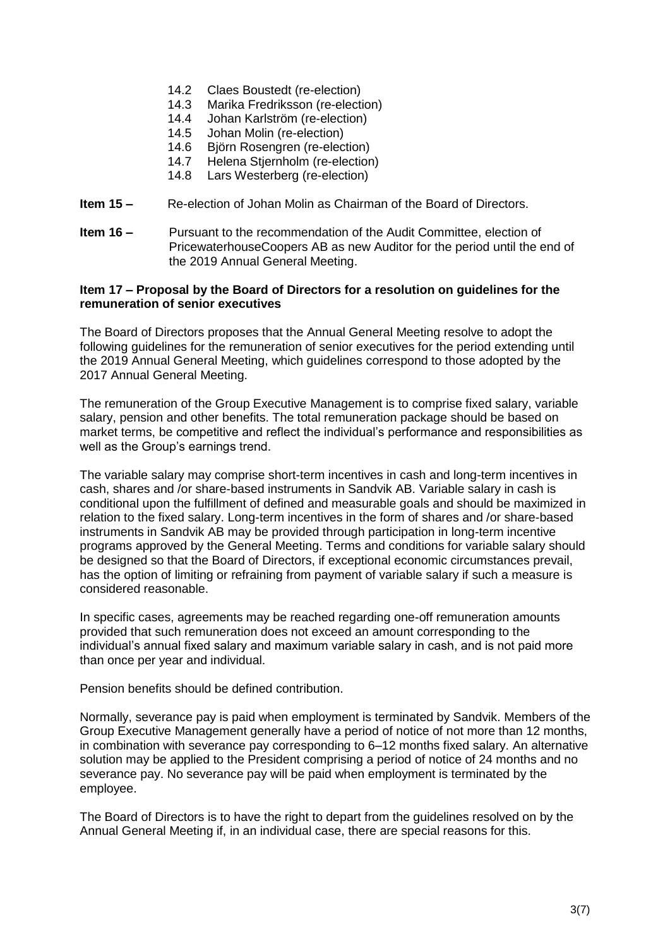- 14.2 Claes Boustedt (re-election)
- 14.3 Marika Fredriksson (re-election)<br>14.4 Johan Karlström (re-election)
- Johan Karlström (re-election)
- 14.5 Johan Molin (re-election)
- 14.6 Björn Rosengren (re-election)
- 14.7 Helena Stjernholm (re-election)
- 14.8 Lars Westerberg (re-election)
- **Item 15 –** Re-election of Johan Molin as Chairman of the Board of Directors.
- **Item 16 –** Pursuant to the recommendation of the Audit Committee, election of PricewaterhouseCoopers AB as new Auditor for the period until the end of the 2019 Annual General Meeting.

#### **Item 17 – Proposal by the Board of Directors for a resolution on guidelines for the remuneration of senior executives**

The Board of Directors proposes that the Annual General Meeting resolve to adopt the following guidelines for the remuneration of senior executives for the period extending until the 2019 Annual General Meeting, which guidelines correspond to those adopted by the 2017 Annual General Meeting.

The remuneration of the Group Executive Management is to comprise fixed salary, variable salary, pension and other benefits. The total remuneration package should be based on market terms, be competitive and reflect the individual's performance and responsibilities as well as the Group's earnings trend.

The variable salary may comprise short-term incentives in cash and long-term incentives in cash, shares and /or share-based instruments in Sandvik AB. Variable salary in cash is conditional upon the fulfillment of defined and measurable goals and should be maximized in relation to the fixed salary. Long-term incentives in the form of shares and /or share-based instruments in Sandvik AB may be provided through participation in long-term incentive programs approved by the General Meeting. Terms and conditions for variable salary should be designed so that the Board of Directors, if exceptional economic circumstances prevail, has the option of limiting or refraining from payment of variable salary if such a measure is considered reasonable.

In specific cases, agreements may be reached regarding one-off remuneration amounts provided that such remuneration does not exceed an amount corresponding to the individual's annual fixed salary and maximum variable salary in cash, and is not paid more than once per year and individual.

Pension benefits should be defined contribution.

Normally, severance pay is paid when employment is terminated by Sandvik. Members of the Group Executive Management generally have a period of notice of not more than 12 months, in combination with severance pay corresponding to 6–12 months fixed salary. An alternative solution may be applied to the President comprising a period of notice of 24 months and no severance pay. No severance pay will be paid when employment is terminated by the employee.

The Board of Directors is to have the right to depart from the guidelines resolved on by the Annual General Meeting if, in an individual case, there are special reasons for this.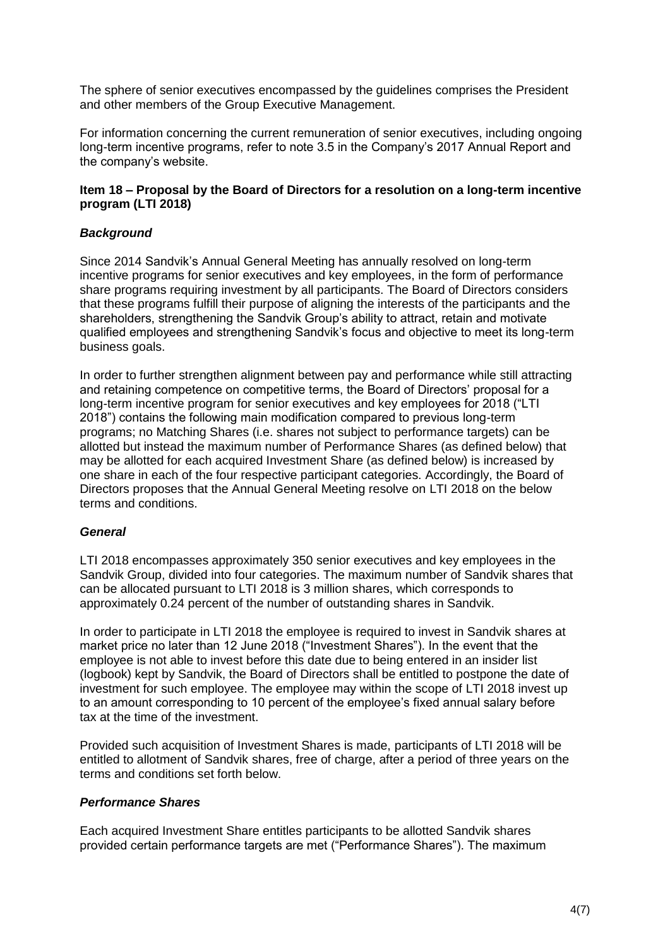The sphere of senior executives encompassed by the guidelines comprises the President and other members of the Group Executive Management.

For information concerning the current remuneration of senior executives, including ongoing long-term incentive programs, refer to note 3.5 in the Company's 2017 Annual Report and the company's website.

## **Item 18 – Proposal by the Board of Directors for a resolution on a long-term incentive program (LTI 2018)**

## *Background*

Since 2014 Sandvik's Annual General Meeting has annually resolved on long-term incentive programs for senior executives and key employees, in the form of performance share programs requiring investment by all participants. The Board of Directors considers that these programs fulfill their purpose of aligning the interests of the participants and the shareholders, strengthening the Sandvik Group's ability to attract, retain and motivate qualified employees and strengthening Sandvik's focus and objective to meet its long-term business goals.

In order to further strengthen alignment between pay and performance while still attracting and retaining competence on competitive terms, the Board of Directors' proposal for a long-term incentive program for senior executives and key employees for 2018 ("LTI 2018") contains the following main modification compared to previous long-term programs; no Matching Shares (i.e. shares not subject to performance targets) can be allotted but instead the maximum number of Performance Shares (as defined below) that may be allotted for each acquired Investment Share (as defined below) is increased by one share in each of the four respective participant categories. Accordingly, the Board of Directors proposes that the Annual General Meeting resolve on LTI 2018 on the below terms and conditions.

## *General*

LTI 2018 encompasses approximately 350 senior executives and key employees in the Sandvik Group, divided into four categories. The maximum number of Sandvik shares that can be allocated pursuant to LTI 2018 is 3 million shares, which corresponds to approximately 0.24 percent of the number of outstanding shares in Sandvik.

In order to participate in LTI 2018 the employee is required to invest in Sandvik shares at market price no later than 12 June 2018 ("Investment Shares"). In the event that the employee is not able to invest before this date due to being entered in an insider list (logbook) kept by Sandvik, the Board of Directors shall be entitled to postpone the date of investment for such employee. The employee may within the scope of LTI 2018 invest up to an amount corresponding to 10 percent of the employee's fixed annual salary before tax at the time of the investment.

Provided such acquisition of Investment Shares is made, participants of LTI 2018 will be entitled to allotment of Sandvik shares, free of charge, after a period of three years on the terms and conditions set forth below.

## *Performance Shares*

Each acquired Investment Share entitles participants to be allotted Sandvik shares provided certain performance targets are met ("Performance Shares"). The maximum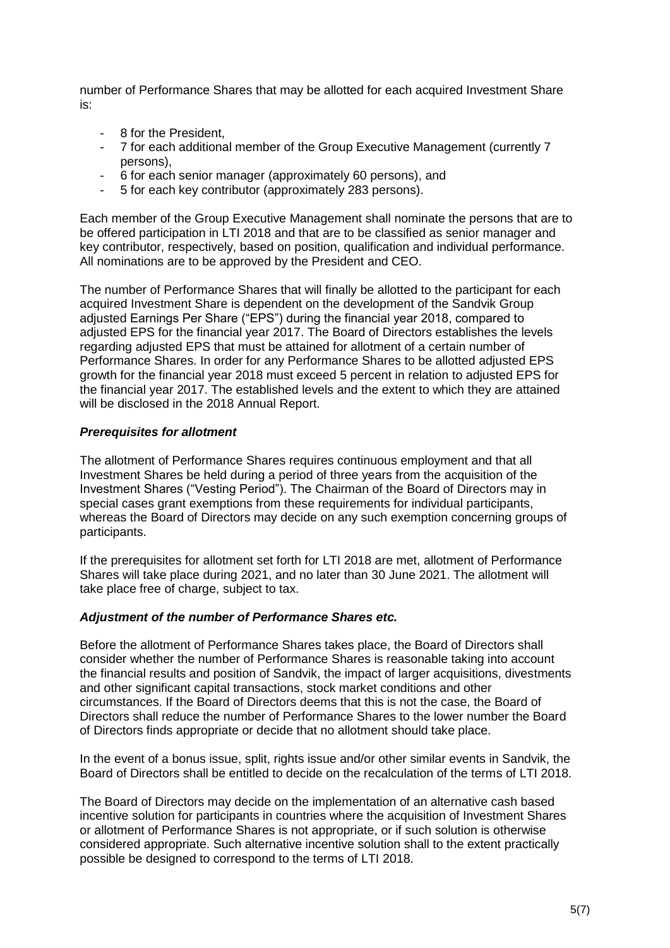number of Performance Shares that may be allotted for each acquired Investment Share is:

- 8 for the President,
- 7 for each additional member of the Group Executive Management (currently 7 persons),
- 6 for each senior manager (approximately 60 persons), and
- 5 for each key contributor (approximately 283 persons).

Each member of the Group Executive Management shall nominate the persons that are to be offered participation in LTI 2018 and that are to be classified as senior manager and key contributor, respectively, based on position, qualification and individual performance. All nominations are to be approved by the President and CEO.

The number of Performance Shares that will finally be allotted to the participant for each acquired Investment Share is dependent on the development of the Sandvik Group adjusted Earnings Per Share ("EPS") during the financial year 2018, compared to adjusted EPS for the financial year 2017. The Board of Directors establishes the levels regarding adjusted EPS that must be attained for allotment of a certain number of Performance Shares. In order for any Performance Shares to be allotted adjusted EPS growth for the financial year 2018 must exceed 5 percent in relation to adjusted EPS for the financial year 2017. The established levels and the extent to which they are attained will be disclosed in the 2018 Annual Report.

## *Prerequisites for allotment*

The allotment of Performance Shares requires continuous employment and that all Investment Shares be held during a period of three years from the acquisition of the Investment Shares ("Vesting Period"). The Chairman of the Board of Directors may in special cases grant exemptions from these requirements for individual participants, whereas the Board of Directors may decide on any such exemption concerning groups of participants.

If the prerequisites for allotment set forth for LTI 2018 are met, allotment of Performance Shares will take place during 2021, and no later than 30 June 2021. The allotment will take place free of charge, subject to tax.

#### *Adjustment of the number of Performance Shares etc.*

Before the allotment of Performance Shares takes place, the Board of Directors shall consider whether the number of Performance Shares is reasonable taking into account the financial results and position of Sandvik, the impact of larger acquisitions, divestments and other significant capital transactions, stock market conditions and other circumstances. If the Board of Directors deems that this is not the case, the Board of Directors shall reduce the number of Performance Shares to the lower number the Board of Directors finds appropriate or decide that no allotment should take place.

In the event of a bonus issue, split, rights issue and/or other similar events in Sandvik, the Board of Directors shall be entitled to decide on the recalculation of the terms of LTI 2018.

The Board of Directors may decide on the implementation of an alternative cash based incentive solution for participants in countries where the acquisition of Investment Shares or allotment of Performance Shares is not appropriate, or if such solution is otherwise considered appropriate. Such alternative incentive solution shall to the extent practically possible be designed to correspond to the terms of LTI 2018.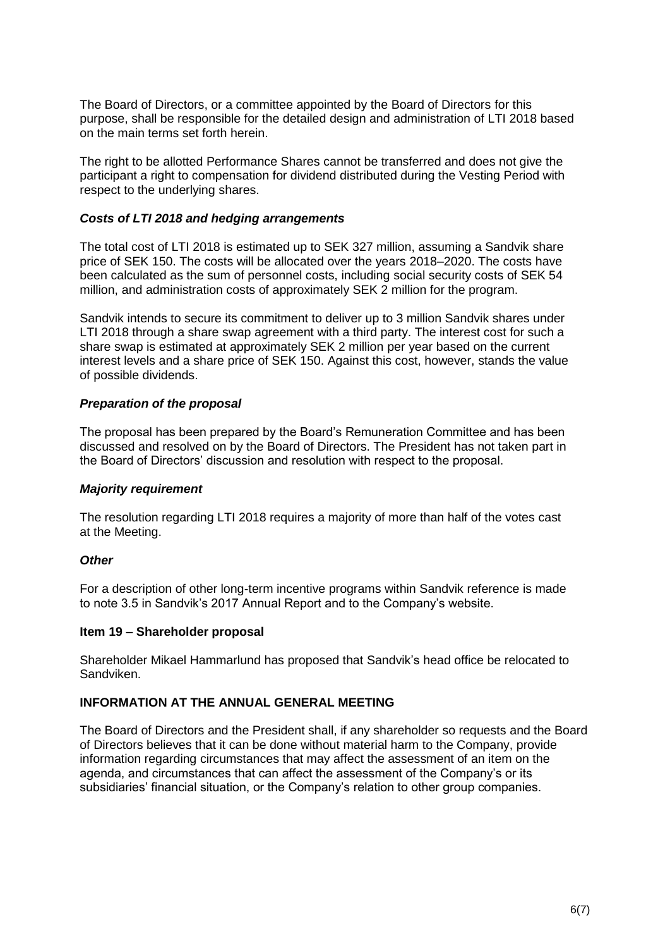The Board of Directors, or a committee appointed by the Board of Directors for this purpose, shall be responsible for the detailed design and administration of LTI 2018 based on the main terms set forth herein.

The right to be allotted Performance Shares cannot be transferred and does not give the participant a right to compensation for dividend distributed during the Vesting Period with respect to the underlying shares.

### *Costs of LTI 2018 and hedging arrangements*

The total cost of LTI 2018 is estimated up to SEK 327 million, assuming a Sandvik share price of SEK 150. The costs will be allocated over the years 2018–2020. The costs have been calculated as the sum of personnel costs, including social security costs of SEK 54 million, and administration costs of approximately SEK 2 million for the program.

Sandvik intends to secure its commitment to deliver up to 3 million Sandvik shares under LTI 2018 through a share swap agreement with a third party. The interest cost for such a share swap is estimated at approximately SEK 2 million per year based on the current interest levels and a share price of SEK 150. Against this cost, however, stands the value of possible dividends.

#### *Preparation of the proposal*

The proposal has been prepared by the Board's Remuneration Committee and has been discussed and resolved on by the Board of Directors. The President has not taken part in the Board of Directors' discussion and resolution with respect to the proposal.

#### *Majority requirement*

The resolution regarding LTI 2018 requires a majority of more than half of the votes cast at the Meeting.

## *Other*

For a description of other long-term incentive programs within Sandvik reference is made to note 3.5 in Sandvik's 2017 Annual Report and to the Company's website.

#### **Item 19 – Shareholder proposal**

Shareholder Mikael Hammarlund has proposed that Sandvik's head office be relocated to Sandviken.

#### **INFORMATION AT THE ANNUAL GENERAL MEETING**

The Board of Directors and the President shall, if any shareholder so requests and the Board of Directors believes that it can be done without material harm to the Company, provide information regarding circumstances that may affect the assessment of an item on the agenda, and circumstances that can affect the assessment of the Company's or its subsidiaries' financial situation, or the Company's relation to other group companies.